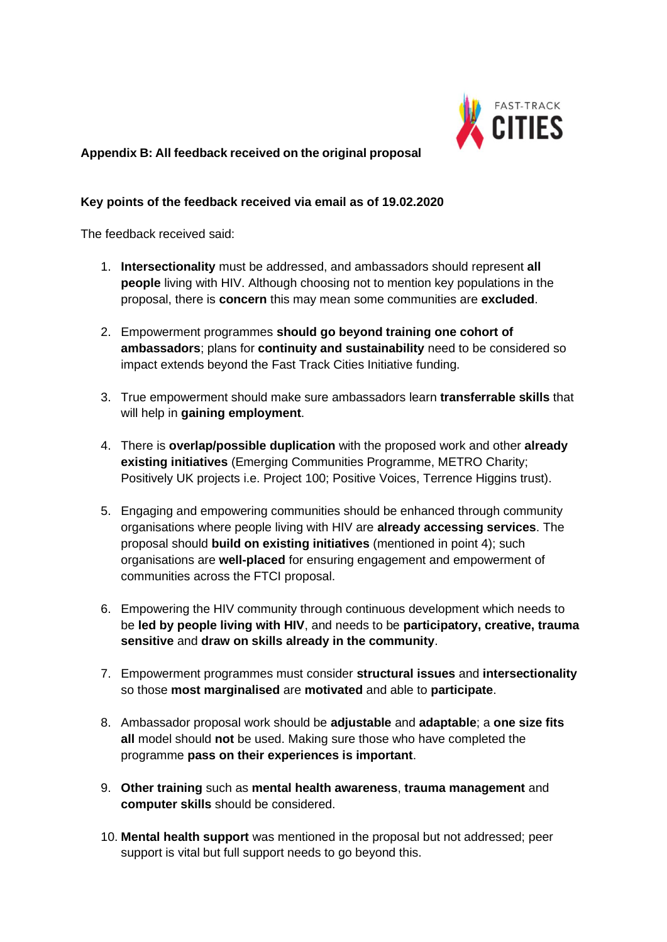

### **Appendix B: All feedback received on the original proposal**

#### **Key points of the feedback received via email as of 19.02.2020**

The feedback received said:

- 1. **Intersectionality** must be addressed, and ambassadors should represent **all people** living with HIV. Although choosing not to mention key populations in the proposal, there is **concern** this may mean some communities are **excluded**.
- 2. Empowerment programmes **should go beyond training one cohort of ambassadors**; plans for **continuity and sustainability** need to be considered so impact extends beyond the Fast Track Cities Initiative funding.
- 3. True empowerment should make sure ambassadors learn **transferrable skills** that will help in **gaining employment**.
- 4. There is **overlap/possible duplication** with the proposed work and other **already existing initiatives** (Emerging Communities Programme, METRO Charity; Positively UK projects i.e. Project 100; Positive Voices, Terrence Higgins trust).
- 5. Engaging and empowering communities should be enhanced through community organisations where people living with HIV are **already accessing services**. The proposal should **build on existing initiatives** (mentioned in point 4); such organisations are **well-placed** for ensuring engagement and empowerment of communities across the FTCI proposal.
- 6. Empowering the HIV community through continuous development which needs to be **led by people living with HIV**, and needs to be **participatory, creative, trauma sensitive** and **draw on skills already in the community**.
- 7. Empowerment programmes must consider **structural issues** and **intersectionality** so those **most marginalised** are **motivated** and able to **participate**.
- 8. Ambassador proposal work should be **adjustable** and **adaptable**; a **one size fits all** model should **not** be used. Making sure those who have completed the programme **pass on their experiences is important**.
- 9. **Other training** such as **mental health awareness**, **trauma management** and **computer skills** should be considered.
- 10. **Mental health support** was mentioned in the proposal but not addressed; peer support is vital but full support needs to go beyond this.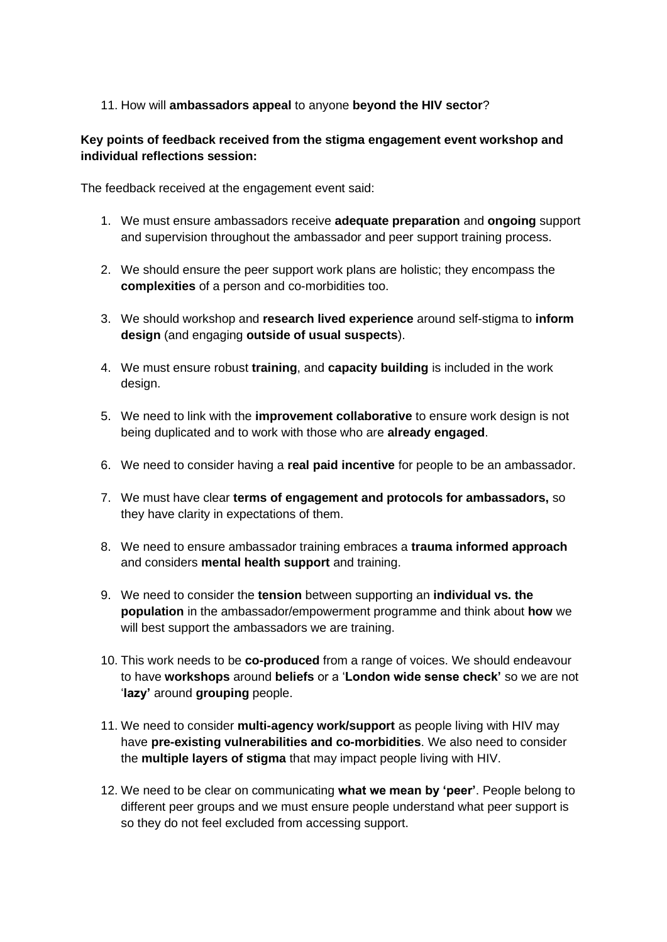### 11. How will **ambassadors appeal** to anyone **beyond the HIV sector**?

### **Key points of feedback received from the stigma engagement event workshop and individual reflections session:**

The feedback received at the engagement event said:

- 1. We must ensure ambassadors receive **adequate preparation** and **ongoing** support and supervision throughout the ambassador and peer support training process.
- 2. We should ensure the peer support work plans are holistic; they encompass the **complexities** of a person and co-morbidities too.
- 3. We should workshop and **research lived experience** around self-stigma to **inform design** (and engaging **outside of usual suspects**).
- 4. We must ensure robust **training**, and **capacity building** is included in the work design.
- 5. We need to link with the **improvement collaborative** to ensure work design is not being duplicated and to work with those who are **already engaged**.
- 6. We need to consider having a **real paid incentive** for people to be an ambassador.
- 7. We must have clear **terms of engagement and protocols for ambassadors,** so they have clarity in expectations of them.
- 8. We need to ensure ambassador training embraces a **trauma informed approach** and considers **mental health support** and training.
- 9. We need to consider the **tension** between supporting an **individual vs. the population** in the ambassador/empowerment programme and think about **how** we will best support the ambassadors we are training.
- 10. This work needs to be **co-produced** from a range of voices. We should endeavour to have **workshops** around **beliefs** or a '**London wide sense check'** so we are not '**lazy'** around **grouping** people.
- 11. We need to consider **multi-agency work/support** as people living with HIV may have **pre-existing vulnerabilities and co-morbidities**. We also need to consider the **multiple layers of stigma** that may impact people living with HIV.
- 12. We need to be clear on communicating **what we mean by 'peer'**. People belong to different peer groups and we must ensure people understand what peer support is so they do not feel excluded from accessing support.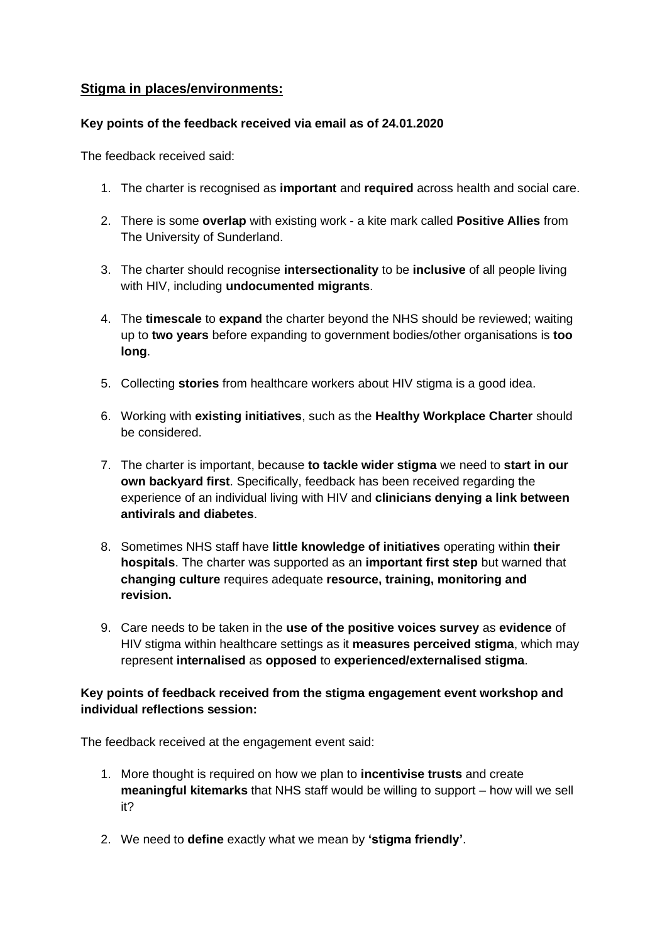## **Stigma in places/environments:**

### **Key points of the feedback received via email as of 24.01.2020**

The feedback received said:

- 1. The charter is recognised as **important** and **required** across health and social care.
- 2. There is some **overlap** with existing work a kite mark called **Positive Allies** from The University of Sunderland.
- 3. The charter should recognise **intersectionality** to be **inclusive** of all people living with HIV, including **undocumented migrants**.
- 4. The **timescale** to **expand** the charter beyond the NHS should be reviewed; waiting up to **two years** before expanding to government bodies/other organisations is **too long**.
- 5. Collecting **stories** from healthcare workers about HIV stigma is a good idea.
- 6. Working with **existing initiatives**, such as the **Healthy Workplace Charter** should be considered.
- 7. The charter is important, because **to tackle wider stigma** we need to **start in our own backyard first**. Specifically, feedback has been received regarding the experience of an individual living with HIV and **clinicians denying a link between antivirals and diabetes**.
- 8. Sometimes NHS staff have **little knowledge of initiatives** operating within **their hospitals**. The charter was supported as an **important first step** but warned that **changing culture** requires adequate **resource, training, monitoring and revision.**
- 9. Care needs to be taken in the **use of the positive voices survey** as **evidence** of HIV stigma within healthcare settings as it **measures perceived stigma**, which may represent **internalised** as **opposed** to **experienced/externalised stigma**.

### **Key points of feedback received from the stigma engagement event workshop and individual reflections session:**

The feedback received at the engagement event said:

- 1. More thought is required on how we plan to **incentivise trusts** and create **meaningful kitemarks** that NHS staff would be willing to support – how will we sell it?
- 2. We need to **define** exactly what we mean by **'stigma friendly'**.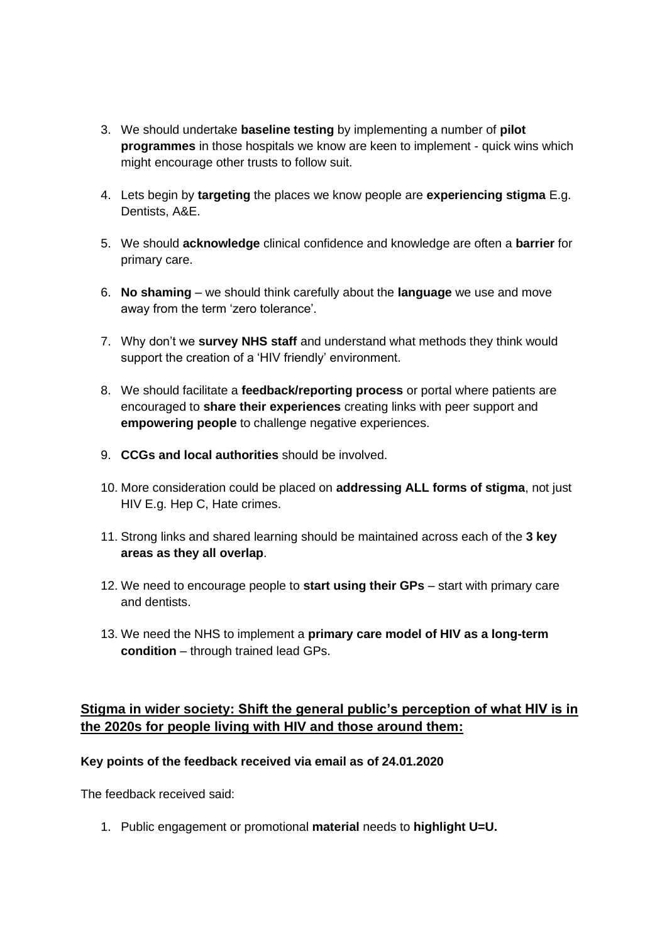- 3. We should undertake **baseline testing** by implementing a number of **pilot programmes** in those hospitals we know are keen to implement - quick wins which might encourage other trusts to follow suit.
- 4. Lets begin by **targeting** the places we know people are **experiencing stigma** E.g. Dentists, A&E.
- 5. We should **acknowledge** clinical confidence and knowledge are often a **barrier** for primary care.
- 6. **No shaming** we should think carefully about the **language** we use and move away from the term 'zero tolerance'.
- 7. Why don't we **survey NHS staff** and understand what methods they think would support the creation of a 'HIV friendly' environment.
- 8. We should facilitate a **feedback/reporting process** or portal where patients are encouraged to **share their experiences** creating links with peer support and **empowering people** to challenge negative experiences.
- 9. **CCGs and local authorities** should be involved.
- 10. More consideration could be placed on **addressing ALL forms of stigma**, not just HIV E.g. Hep C, Hate crimes.
- 11. Strong links and shared learning should be maintained across each of the **3 key areas as they all overlap**.
- 12. We need to encourage people to **start using their GPs** start with primary care and dentists.
- 13. We need the NHS to implement a **primary care model of HIV as a long-term condition** – through trained lead GPs.

# **Stigma in wider society: Shift the general public's perception of what HIV is in the 2020s for people living with HIV and those around them:**

### **Key points of the feedback received via email as of 24.01.2020**

The feedback received said:

1. Public engagement or promotional **material** needs to **highlight U=U.**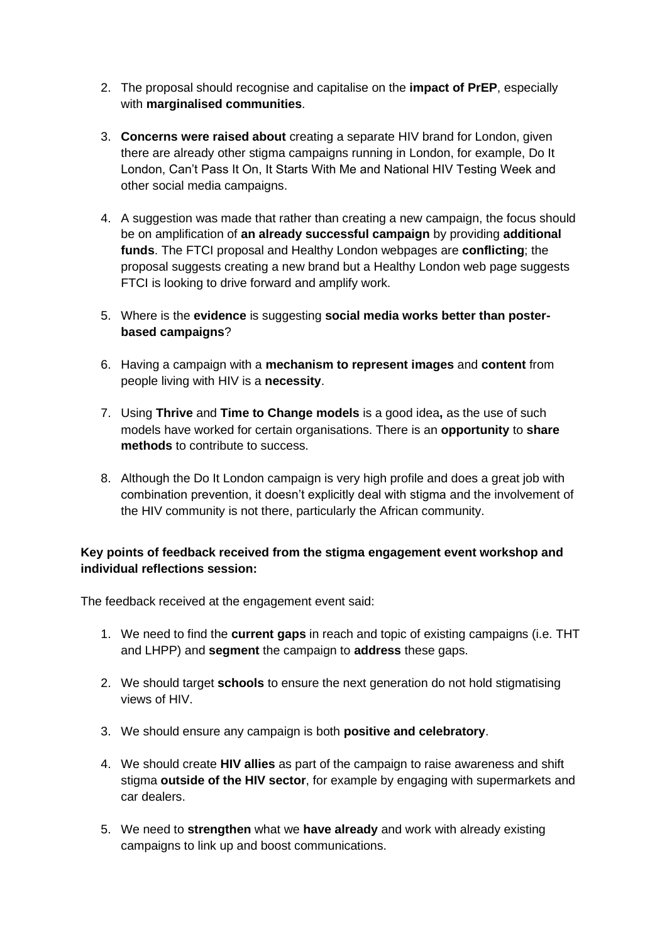- 2. The proposal should recognise and capitalise on the **impact of PrEP**, especially with **marginalised communities**.
- 3. **Concerns were raised about** creating a separate HIV brand for London, given there are already other stigma campaigns running in London, for example, Do It London, Can't Pass It On, It Starts With Me and National HIV Testing Week and other social media campaigns.
- 4. A suggestion was made that rather than creating a new campaign, the focus should be on amplification of **an already successful campaign** by providing **additional funds**. The FTCI proposal and Healthy London webpages are **conflicting**; the proposal suggests creating a new brand but a Healthy London web page suggests FTCI is looking to drive forward and amplify work.
- 5. Where is the **evidence** is suggesting **social media works better than posterbased campaigns**?
- 6. Having a campaign with a **mechanism to represent images** and **content** from people living with HIV is a **necessity**.
- 7. Using **Thrive** and **Time to Change models** is a good idea**,** as the use of such models have worked for certain organisations. There is an **opportunity** to **share methods** to contribute to success.
- 8. Although the Do It London campaign is very high profile and does a great job with combination prevention, it doesn't explicitly deal with stigma and the involvement of the HIV community is not there, particularly the African community.

### **Key points of feedback received from the stigma engagement event workshop and individual reflections session:**

The feedback received at the engagement event said:

- 1. We need to find the **current gaps** in reach and topic of existing campaigns (i.e. THT and LHPP) and **segment** the campaign to **address** these gaps.
- 2. We should target **schools** to ensure the next generation do not hold stigmatising views of HIV.
- 3. We should ensure any campaign is both **positive and celebratory**.
- 4. We should create **HIV allies** as part of the campaign to raise awareness and shift stigma **outside of the HIV sector**, for example by engaging with supermarkets and car dealers.
- 5. We need to **strengthen** what we **have already** and work with already existing campaigns to link up and boost communications.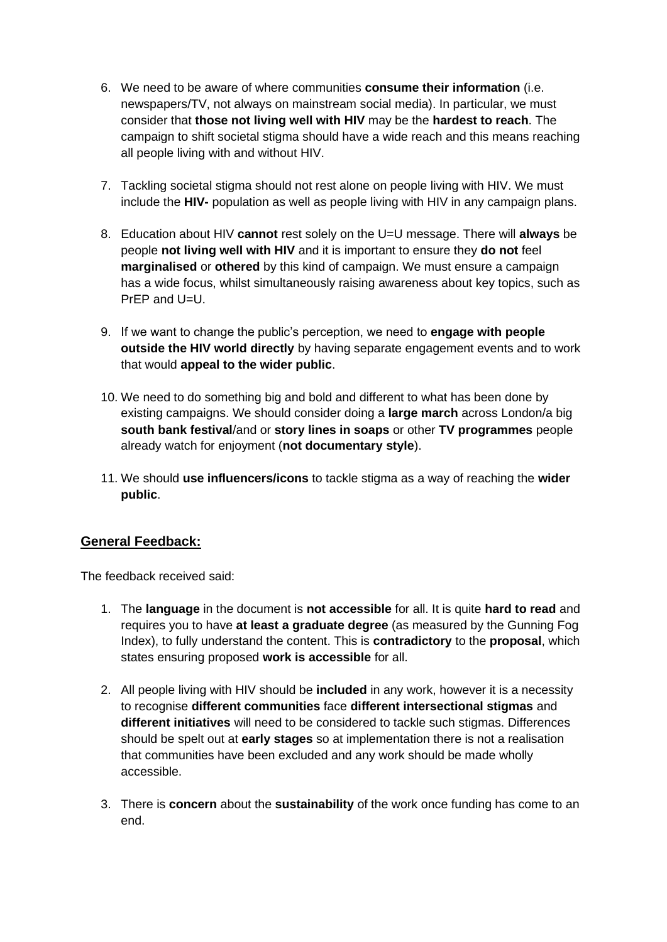- 6. We need to be aware of where communities **consume their information** (i.e. newspapers/TV, not always on mainstream social media). In particular, we must consider that **those not living well with HIV** may be the **hardest to reach**. The campaign to shift societal stigma should have a wide reach and this means reaching all people living with and without HIV.
- 7. Tackling societal stigma should not rest alone on people living with HIV. We must include the **HIV-** population as well as people living with HIV in any campaign plans.
- 8. Education about HIV **cannot** rest solely on the U=U message. There will **always** be people **not living well with HIV** and it is important to ensure they **do not** feel **marginalised** or **othered** by this kind of campaign. We must ensure a campaign has a wide focus, whilst simultaneously raising awareness about key topics, such as PrEP and U=U.
- 9. If we want to change the public's perception, we need to **engage with people outside the HIV world directly** by having separate engagement events and to work that would **appeal to the wider public**.
- 10. We need to do something big and bold and different to what has been done by existing campaigns. We should consider doing a **large march** across London/a big **south bank festival**/and or **story lines in soaps** or other **TV programmes** people already watch for enjoyment (**not documentary style**).
- 11. We should **use influencers/icons** to tackle stigma as a way of reaching the **wider public**.

### **General Feedback:**

The feedback received said:

- 1. The **language** in the document is **not accessible** for all. It is quite **hard to read** and requires you to have **at least a graduate degree** (as measured by the Gunning Fog Index), to fully understand the content. This is **contradictory** to the **proposal**, which states ensuring proposed **work is accessible** for all.
- 2. All people living with HIV should be **included** in any work, however it is a necessity to recognise **different communities** face **different intersectional stigmas** and **different initiatives** will need to be considered to tackle such stigmas. Differences should be spelt out at **early stages** so at implementation there is not a realisation that communities have been excluded and any work should be made wholly accessible.
- 3. There is **concern** about the **sustainability** of the work once funding has come to an end.